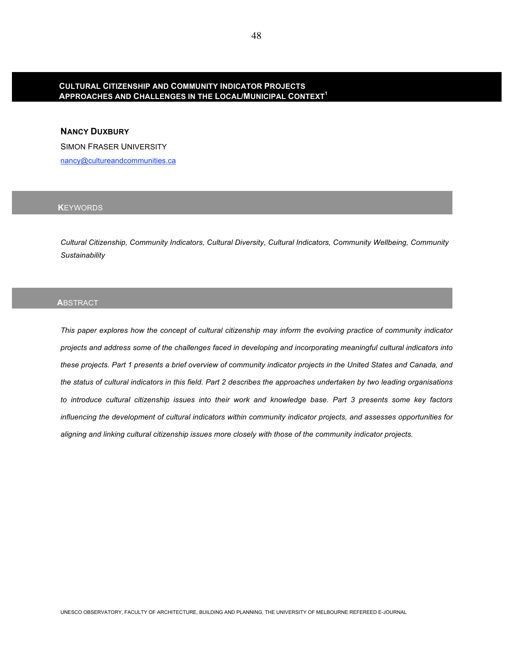# **CULTURAL CITIZENSHIP AND COMMUNITY INDICATOR PROJECTS APPROACHES AND CHALLENGES IN THE LOCAL/MUNICIPAL CONTEXT<sup>1</sup>**

# **NANCY DUXBURY**

SIMON FRASER UNIVERSITY

nancy@cultureandcommunities.ca

# **K**EYWORDS

*Cultural Citizenship, Community Indicators, Cultural Diversity, Cultural Indicators, Community Wellbeing, Community Sustainability* 

## **A**BSTRACT

*This paper explores how the concept of cultural citizenship may inform the evolving practice of community indicator projects and address some of the challenges faced in developing and incorporating meaningful cultural indicators into these projects. Part 1 presents a brief overview of community indicator projects in the United States and Canada, and the status of cultural indicators in this field. Part 2 describes the approaches undertaken by two leading organisations to introduce cultural citizenship issues into their work and knowledge base. Part 3 presents some key factors influencing the development of cultural indicators within community indicator projects, and assesses opportunities for aligning and linking cultural citizenship issues more closely with those of the community indicator projects.*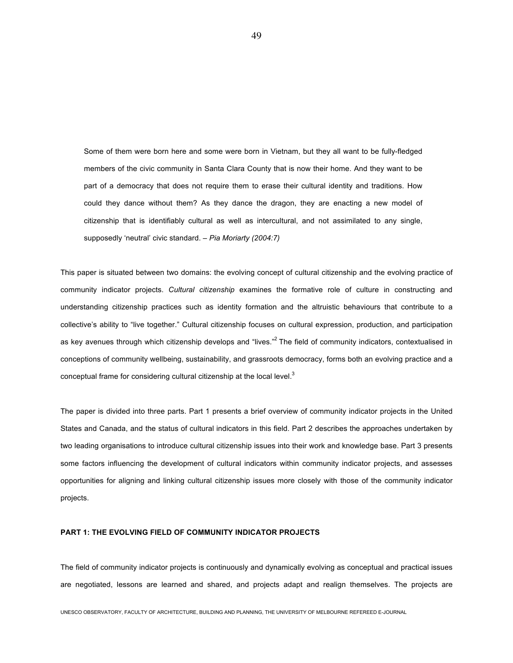Some of them were born here and some were born in Vietnam, but they all want to be fully-fledged members of the civic community in Santa Clara County that is now their home. And they want to be part of a democracy that does not require them to erase their cultural identity and traditions. How could they dance without them? As they dance the dragon, they are enacting a new model of citizenship that is identifiably cultural as well as intercultural, and not assimilated to any single, supposedly 'neutral' civic standard. – *Pia Moriarty (2004:7)* 

This paper is situated between two domains: the evolving concept of cultural citizenship and the evolving practice of community indicator projects. *Cultural citizenship* examines the formative role of culture in constructing and understanding citizenship practices such as identity formation and the altruistic behaviours that contribute to a collective's ability to "live together." Cultural citizenship focuses on cultural expression, production, and participation as key avenues through which citizenship develops and "lives."<sup>2</sup> The field of community indicators, contextualised in conceptions of community wellbeing, sustainability, and grassroots democracy, forms both an evolving practice and a conceptual frame for considering cultural citizenship at the local level. $^3$ 

The paper is divided into three parts. Part 1 presents a brief overview of community indicator projects in the United States and Canada, and the status of cultural indicators in this field. Part 2 describes the approaches undertaken by two leading organisations to introduce cultural citizenship issues into their work and knowledge base. Part 3 presents some factors influencing the development of cultural indicators within community indicator projects, and assesses opportunities for aligning and linking cultural citizenship issues more closely with those of the community indicator projects.

#### **PART 1: THE EVOLVING FIELD OF COMMUNITY INDICATOR PROJECTS**

The field of community indicator projects is continuously and dynamically evolving as conceptual and practical issues are negotiated, lessons are learned and shared, and projects adapt and realign themselves. The projects are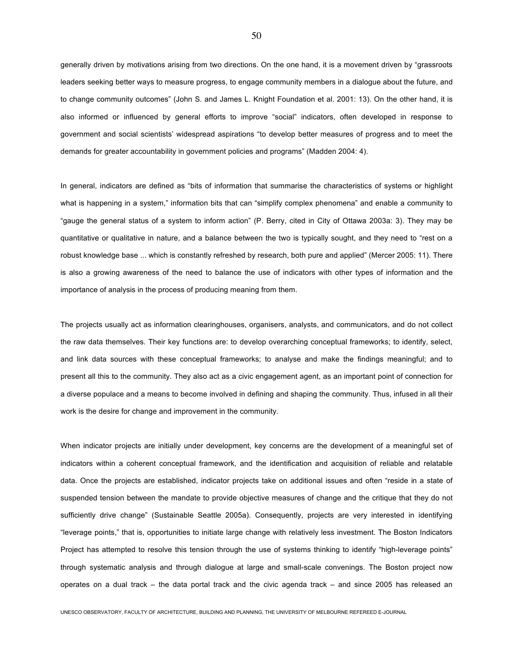generally driven by motivations arising from two directions. On the one hand, it is a movement driven by "grassroots leaders seeking better ways to measure progress, to engage community members in a dialogue about the future, and to change community outcomes" (John S. and James L. Knight Foundation et al. 2001: 13). On the other hand, it is also informed or influenced by general efforts to improve "social" indicators, often developed in response to government and social scientists' widespread aspirations "to develop better measures of progress and to meet the demands for greater accountability in government policies and programs" (Madden 2004: 4).

In general, indicators are defined as "bits of information that summarise the characteristics of systems or highlight what is happening in a system," information bits that can "simplify complex phenomena" and enable a community to "gauge the general status of a system to inform action" (P. Berry, cited in City of Ottawa 2003a: 3). They may be quantitative or qualitative in nature, and a balance between the two is typically sought, and they need to "rest on a robust knowledge base ... which is constantly refreshed by research, both pure and applied" (Mercer 2005: 11). There is also a growing awareness of the need to balance the use of indicators with other types of information and the importance of analysis in the process of producing meaning from them.

The projects usually act as information clearinghouses, organisers, analysts, and communicators, and do not collect the raw data themselves. Their key functions are: to develop overarching conceptual frameworks; to identify, select, and link data sources with these conceptual frameworks; to analyse and make the findings meaningful; and to present all this to the community. They also act as a civic engagement agent, as an important point of connection for a diverse populace and a means to become involved in defining and shaping the community. Thus, infused in all their work is the desire for change and improvement in the community.

When indicator projects are initially under development, key concerns are the development of a meaningful set of indicators within a coherent conceptual framework, and the identification and acquisition of reliable and relatable data. Once the projects are established, indicator projects take on additional issues and often "reside in a state of suspended tension between the mandate to provide objective measures of change and the critique that they do not sufficiently drive change" (Sustainable Seattle 2005a). Consequently, projects are very interested in identifying "leverage points," that is, opportunities to initiate large change with relatively less investment. The Boston Indicators Project has attempted to resolve this tension through the use of systems thinking to identify "high-leverage points" through systematic analysis and through dialogue at large and small-scale convenings. The Boston project now operates on a dual track – the data portal track and the civic agenda track – and since 2005 has released an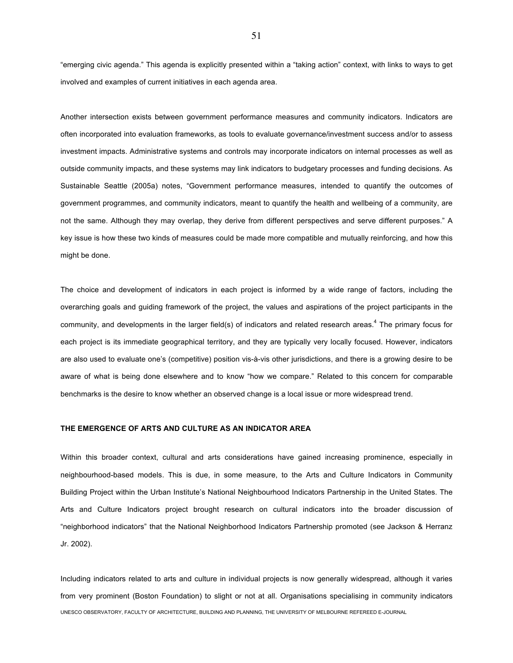"emerging civic agenda." This agenda is explicitly presented within a "taking action" context, with links to ways to get involved and examples of current initiatives in each agenda area.

Another intersection exists between government performance measures and community indicators. Indicators are often incorporated into evaluation frameworks, as tools to evaluate governance/investment success and/or to assess investment impacts. Administrative systems and controls may incorporate indicators on internal processes as well as outside community impacts, and these systems may link indicators to budgetary processes and funding decisions. As Sustainable Seattle (2005a) notes, "Government performance measures, intended to quantify the outcomes of government programmes, and community indicators, meant to quantify the health and wellbeing of a community, are not the same. Although they may overlap, they derive from different perspectives and serve different purposes." A key issue is how these two kinds of measures could be made more compatible and mutually reinforcing, and how this might be done.

The choice and development of indicators in each project is informed by a wide range of factors, including the overarching goals and guiding framework of the project, the values and aspirations of the project participants in the community, and developments in the larger field(s) of indicators and related research areas.<sup>4</sup> The primary focus for each project is its immediate geographical territory, and they are typically very locally focused. However, indicators are also used to evaluate one's (competitive) position vis-à-vis other jurisdictions, and there is a growing desire to be aware of what is being done elsewhere and to know "how we compare." Related to this concern for comparable benchmarks is the desire to know whether an observed change is a local issue or more widespread trend.

## **THE EMERGENCE OF ARTS AND CULTURE AS AN INDICATOR AREA**

Within this broader context, cultural and arts considerations have gained increasing prominence, especially in neighbourhood-based models. This is due, in some measure, to the Arts and Culture Indicators in Community Building Project within the Urban Institute's National Neighbourhood Indicators Partnership in the United States. The Arts and Culture Indicators project brought research on cultural indicators into the broader discussion of "neighborhood indicators" that the National Neighborhood Indicators Partnership promoted (see Jackson & Herranz Jr. 2002).

UNESCO OBSERVATORY, FACULTY OF ARCHITECTURE, BUILDING AND PLANNING, THE UNIVERSITY OF MELBOURNE REFEREED E-JOURNAL Including indicators related to arts and culture in individual projects is now generally widespread, although it varies from very prominent (Boston Foundation) to slight or not at all. Organisations specialising in community indicators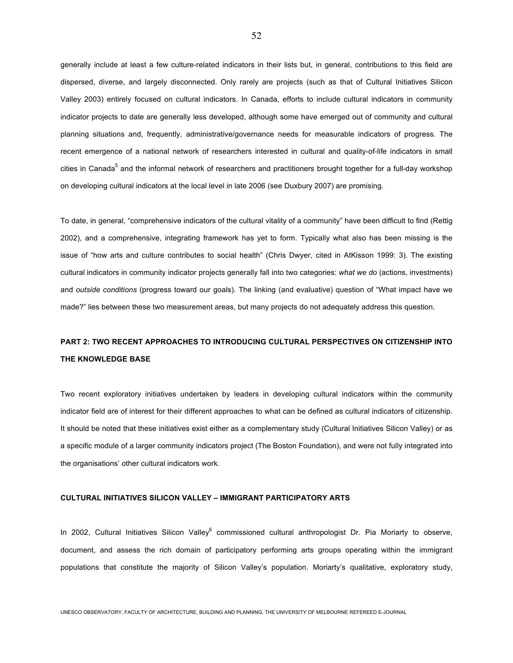generally include at least a few culture-related indicators in their lists but, in general, contributions to this field are dispersed, diverse, and largely disconnected. Only rarely are projects (such as that of Cultural Initiatives Silicon Valley 2003) entirely focused on cultural indicators. In Canada, efforts to include cultural indicators in community indicator projects to date are generally less developed, although some have emerged out of community and cultural planning situations and, frequently, administrative/governance needs for measurable indicators of progress. The recent emergence of a national network of researchers interested in cultural and quality-of-life indicators in small cities in Canada<sup>5</sup> and the informal network of researchers and practitioners brought together for a full-day workshop on developing cultural indicators at the local level in late 2006 (see Duxbury 2007) are promising.

To date, in general, "comprehensive indicators of the cultural vitality of a community" have been difficult to find (Rettig 2002), and a comprehensive, integrating framework has yet to form. Typically what also has been missing is the issue of "how arts and culture contributes to social health" (Chris Dwyer, cited in AtKisson 1999: 3). The existing cultural indicators in community indicator projects generally fall into two categories: *what we do* (actions, investments) and *outside conditions* (progress toward our goals). The linking (and evaluative) question of "What impact have we made?" lies between these two measurement areas, but many projects do not adequately address this question.

# **PART 2: TWO RECENT APPROACHES TO INTRODUCING CULTURAL PERSPECTIVES ON CITIZENSHIP INTO THE KNOWLEDGE BASE**

Two recent exploratory initiatives undertaken by leaders in developing cultural indicators within the community indicator field are of interest for their different approaches to what can be defined as cultural indicators of citizenship. It should be noted that these initiatives exist either as a complementary study (Cultural Initiatives Silicon Valley) or as a specific module of a larger community indicators project (The Boston Foundation), and were not fully integrated into the organisations' other cultural indicators work.

## **CULTURAL INITIATIVES SILICON VALLEY – IMMIGRANT PARTICIPATORY ARTS**

In 2002, Cultural Initiatives Silicon Valley<sup>6</sup> commissioned cultural anthropologist Dr. Pia Moriarty to observe, document, and assess the rich domain of participatory performing arts groups operating within the immigrant populations that constitute the majority of Silicon Valley's population. Moriarty's qualitative, exploratory study,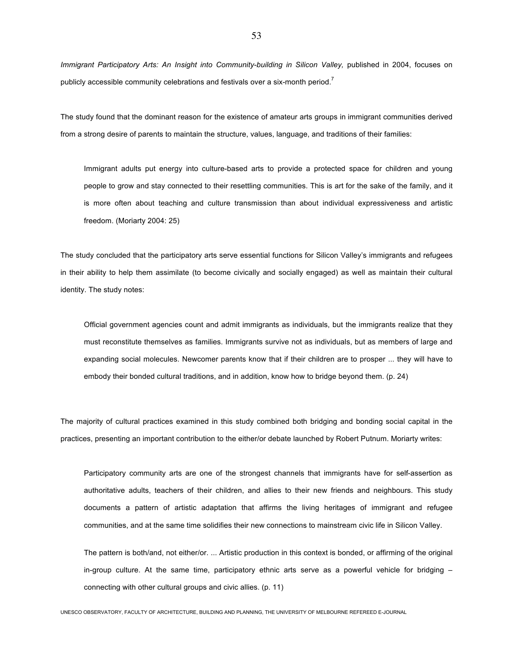*Immigrant Participatory Arts: An Insight into Community-building in Silicon Valley,* published in 2004, focuses on publicly accessible community celebrations and festivals over a six-month period.<sup>7</sup>

The study found that the dominant reason for the existence of amateur arts groups in immigrant communities derived from a strong desire of parents to maintain the structure, values, language, and traditions of their families:

Immigrant adults put energy into culture-based arts to provide a protected space for children and young people to grow and stay connected to their resettling communities. This is art for the sake of the family, and it is more often about teaching and culture transmission than about individual expressiveness and artistic freedom. (Moriarty 2004: 25)

The study concluded that the participatory arts serve essential functions for Silicon Valley's immigrants and refugees in their ability to help them assimilate (to become civically and socially engaged) as well as maintain their cultural identity. The study notes:

Official government agencies count and admit immigrants as individuals, but the immigrants realize that they must reconstitute themselves as families. Immigrants survive not as individuals, but as members of large and expanding social molecules. Newcomer parents know that if their children are to prosper ... they will have to embody their bonded cultural traditions, and in addition, know how to bridge beyond them. (p. 24)

The majority of cultural practices examined in this study combined both bridging and bonding social capital in the practices, presenting an important contribution to the either/or debate launched by Robert Putnum. Moriarty writes:

Participatory community arts are one of the strongest channels that immigrants have for self-assertion as authoritative adults, teachers of their children, and allies to their new friends and neighbours. This study documents a pattern of artistic adaptation that affirms the living heritages of immigrant and refugee communities, and at the same time solidifies their new connections to mainstream civic life in Silicon Valley.

The pattern is both/and, not either/or. ... Artistic production in this context is bonded, or affirming of the original in-group culture. At the same time, participatory ethnic arts serve as a powerful vehicle for bridging – connecting with other cultural groups and civic allies. (p. 11)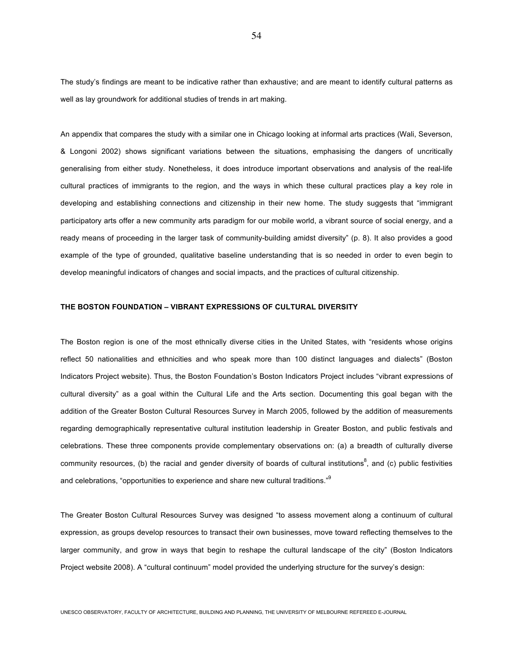The study's findings are meant to be indicative rather than exhaustive; and are meant to identify cultural patterns as well as lay groundwork for additional studies of trends in art making.

An appendix that compares the study with a similar one in Chicago looking at informal arts practices (Wali, Severson, & Longoni 2002) shows significant variations between the situations, emphasising the dangers of uncritically generalising from either study. Nonetheless, it does introduce important observations and analysis of the real-life cultural practices of immigrants to the region, and the ways in which these cultural practices play a key role in developing and establishing connections and citizenship in their new home. The study suggests that "immigrant participatory arts offer a new community arts paradigm for our mobile world, a vibrant source of social energy, and a ready means of proceeding in the larger task of community-building amidst diversity" (p. 8). It also provides a good example of the type of grounded, qualitative baseline understanding that is so needed in order to even begin to develop meaningful indicators of changes and social impacts, and the practices of cultural citizenship.

## **THE BOSTON FOUNDATION – VIBRANT EXPRESSIONS OF CULTURAL DIVERSITY**

The Boston region is one of the most ethnically diverse cities in the United States, with "residents whose origins reflect 50 nationalities and ethnicities and who speak more than 100 distinct languages and dialects" (Boston Indicators Project website). Thus, the Boston Foundation's Boston Indicators Project includes "vibrant expressions of cultural diversity" as a goal within the Cultural Life and the Arts section. Documenting this goal began with the addition of the Greater Boston Cultural Resources Survey in March 2005, followed by the addition of measurements regarding demographically representative cultural institution leadership in Greater Boston, and public festivals and celebrations. These three components provide complementary observations on: (a) a breadth of culturally diverse community resources, (b) the racial and gender diversity of boards of cultural institutions<sup>8</sup>, and (c) public festivities and celebrations, "opportunities to experience and share new cultural traditions."<sup>9</sup>

The Greater Boston Cultural Resources Survey was designed "to assess movement along a continuum of cultural expression, as groups develop resources to transact their own businesses, move toward reflecting themselves to the larger community, and grow in ways that begin to reshape the cultural landscape of the city" (Boston Indicators Project website 2008). A "cultural continuum" model provided the underlying structure for the survey's design: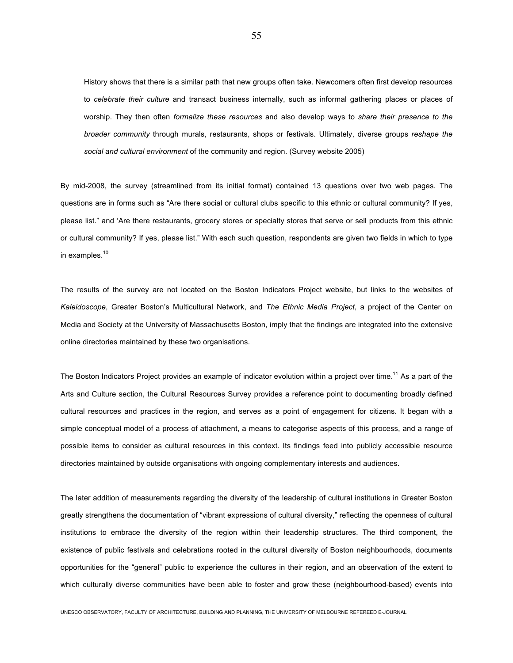History shows that there is a similar path that new groups often take. Newcomers often first develop resources to *celebrate their culture* and transact business internally, such as informal gathering places or places of worship. They then often *formalize these resources* and also develop ways to *share their presence to the broader community* through murals, restaurants, shops or festivals. Ultimately, diverse groups *reshape the social and cultural environment* of the community and region. (Survey website 2005)

By mid-2008, the survey (streamlined from its initial format) contained 13 questions over two web pages. The questions are in forms such as "Are there social or cultural clubs specific to this ethnic or cultural community? If yes, please list." and 'Are there restaurants, grocery stores or specialty stores that serve or sell products from this ethnic or cultural community? If yes, please list." With each such question, respondents are given two fields in which to type in examples.<sup>10</sup>

The results of the survey are not located on the Boston Indicators Project website, but links to the websites of *Kaleidoscope*, Greater Boston's Multicultural Network, and *The Ethnic Media Project*, a project of the Center on Media and Society at the University of Massachusetts Boston, imply that the findings are integrated into the extensive online directories maintained by these two organisations.

The Boston Indicators Project provides an example of indicator evolution within a project over time.<sup>11</sup> As a part of the Arts and Culture section, the Cultural Resources Survey provides a reference point to documenting broadly defined cultural resources and practices in the region, and serves as a point of engagement for citizens. It began with a simple conceptual model of a process of attachment, a means to categorise aspects of this process, and a range of possible items to consider as cultural resources in this context. Its findings feed into publicly accessible resource directories maintained by outside organisations with ongoing complementary interests and audiences.

The later addition of measurements regarding the diversity of the leadership of cultural institutions in Greater Boston greatly strengthens the documentation of "vibrant expressions of cultural diversity," reflecting the openness of cultural institutions to embrace the diversity of the region within their leadership structures. The third component, the existence of public festivals and celebrations rooted in the cultural diversity of Boston neighbourhoods, documents opportunities for the "general" public to experience the cultures in their region, and an observation of the extent to which culturally diverse communities have been able to foster and grow these (neighbourhood-based) events into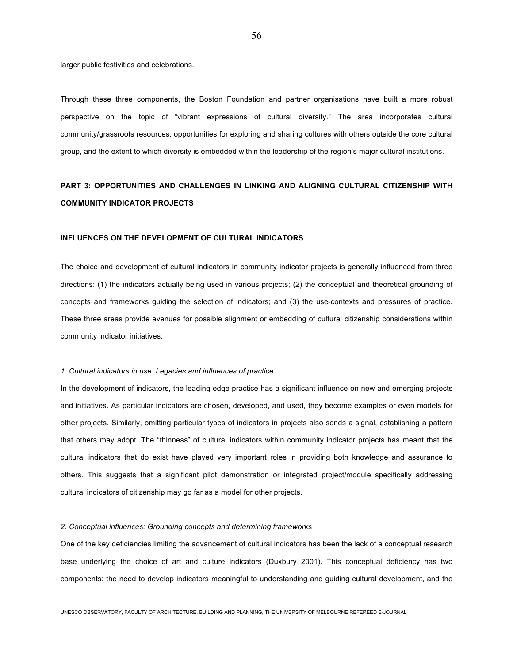larger public festivities and celebrations.

Through these three components, the Boston Foundation and partner organisations have built a more robust perspective on the topic of "vibrant expressions of cultural diversity." The area incorporates cultural community/grassroots resources, opportunities for exploring and sharing cultures with others outside the core cultural group, and the extent to which diversity is embedded within the leadership of the region's major cultural institutions.

# **PART 3: OPPORTUNITIES AND CHALLENGES IN LINKING AND ALIGNING CULTURAL CITIZENSHIP WITH COMMUNITY INDICATOR PROJECTS**

#### **INFLUENCES ON THE DEVELOPMENT OF CULTURAL INDICATORS**

The choice and development of cultural indicators in community indicator projects is generally influenced from three directions: (1) the indicators actually being used in various projects; (2) the conceptual and theoretical grounding of concepts and frameworks guiding the selection of indicators; and (3) the use-contexts and pressures of practice. These three areas provide avenues for possible alignment or embedding of cultural citizenship considerations within community indicator initiatives.

#### *1. Cultural indicators in use: Legacies and influences of practice*

In the development of indicators, the leading edge practice has a significant influence on new and emerging projects and initiatives. As particular indicators are chosen, developed, and used, they become examples or even models for other projects. Similarly, omitting particular types of indicators in projects also sends a signal, establishing a pattern that others may adopt. The "thinness" of cultural indicators within community indicator projects has meant that the cultural indicators that do exist have played very important roles in providing both knowledge and assurance to others. This suggests that a significant pilot demonstration or integrated project/module specifically addressing cultural indicators of citizenship may go far as a model for other projects.

#### *2. Conceptual influences: Grounding concepts and determining frameworks*

One of the key deficiencies limiting the advancement of cultural indicators has been the lack of a conceptual research base underlying the choice of art and culture indicators (Duxbury 2001). This conceptual deficiency has two components: the need to develop indicators meaningful to understanding and guiding cultural development, and the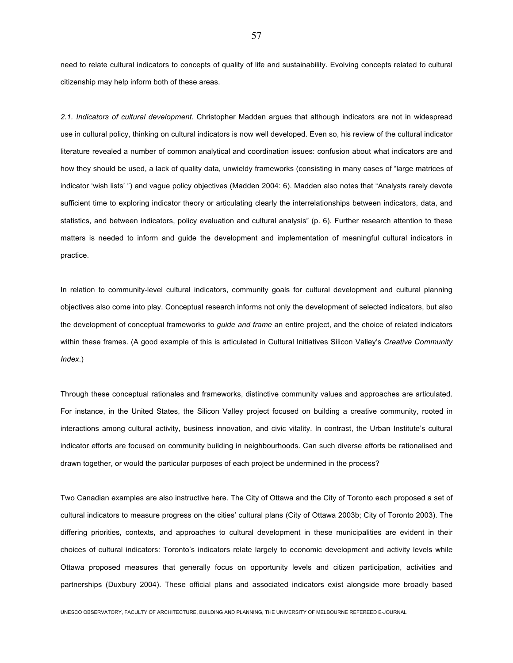need to relate cultural indicators to concepts of quality of life and sustainability. Evolving concepts related to cultural citizenship may help inform both of these areas.

*2.1. Indicators of cultural development.* Christopher Madden argues that although indicators are not in widespread use in cultural policy, thinking on cultural indicators is now well developed. Even so, his review of the cultural indicator literature revealed a number of common analytical and coordination issues: confusion about what indicators are and how they should be used, a lack of quality data, unwieldy frameworks (consisting in many cases of "large matrices of indicator 'wish lists' ") and vague policy objectives (Madden 2004: 6). Madden also notes that "Analysts rarely devote sufficient time to exploring indicator theory or articulating clearly the interrelationships between indicators, data, and statistics, and between indicators, policy evaluation and cultural analysis" (p. 6). Further research attention to these matters is needed to inform and guide the development and implementation of meaningful cultural indicators in practice.

In relation to community-level cultural indicators, community goals for cultural development and cultural planning objectives also come into play. Conceptual research informs not only the development of selected indicators, but also the development of conceptual frameworks to *guide and frame* an entire project, and the choice of related indicators within these frames. (A good example of this is articulated in Cultural Initiatives Silicon Valley's *Creative Community Index*.)

Through these conceptual rationales and frameworks, distinctive community values and approaches are articulated. For instance, in the United States, the Silicon Valley project focused on building a creative community, rooted in interactions among cultural activity, business innovation, and civic vitality. In contrast, the Urban Institute's cultural indicator efforts are focused on community building in neighbourhoods. Can such diverse efforts be rationalised and drawn together, or would the particular purposes of each project be undermined in the process?

Two Canadian examples are also instructive here. The City of Ottawa and the City of Toronto each proposed a set of cultural indicators to measure progress on the cities' cultural plans (City of Ottawa 2003b; City of Toronto 2003). The differing priorities, contexts, and approaches to cultural development in these municipalities are evident in their choices of cultural indicators: Toronto's indicators relate largely to economic development and activity levels while Ottawa proposed measures that generally focus on opportunity levels and citizen participation, activities and partnerships (Duxbury 2004). These official plans and associated indicators exist alongside more broadly based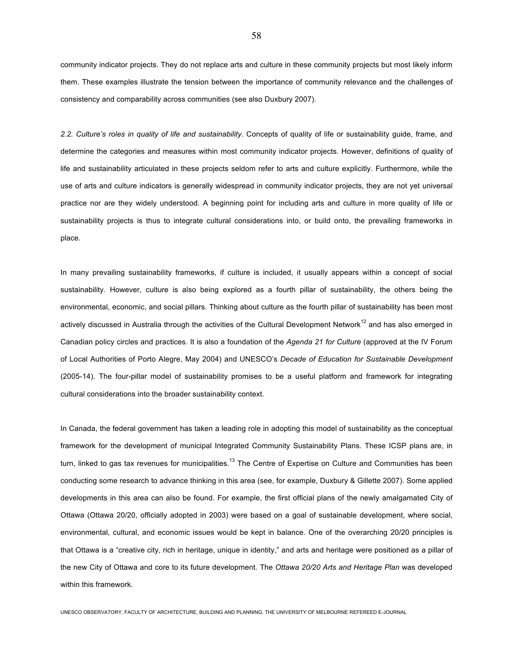community indicator projects. They do not replace arts and culture in these community projects but most likely inform them. These examples illustrate the tension between the importance of community relevance and the challenges of consistency and comparability across communities (see also Duxbury 2007).

*2.2. Culture's roles in quality of life and sustainability.* Concepts of quality of life or sustainability guide, frame, and determine the categories and measures within most community indicator projects. However, definitions of quality of life and sustainability articulated in these projects seldom refer to arts and culture explicitly. Furthermore, while the use of arts and culture indicators is generally widespread in community indicator projects, they are not yet universal practice nor are they widely understood. A beginning point for including arts and culture in more quality of life or sustainability projects is thus to integrate cultural considerations into, or build onto, the prevailing frameworks in place.

In many prevailing sustainability frameworks, if culture is included, it usually appears within a concept of social sustainability. However, culture is also being explored as a fourth pillar of sustainability, the others being the environmental, economic, and social pillars. Thinking about culture as the fourth pillar of sustainability has been most actively discussed in Australia through the activities of the Cultural Development Network<sup>12</sup> and has also emerged in Canadian policy circles and practices. It is also a foundation of the *Agenda 21 for Culture* (approved at the IV Forum of Local Authorities of Porto Alegre, May 2004) and UNESCO's *Decade of Education for Sustainable Development*  (2005-14). The four-pillar model of sustainability promises to be a useful platform and framework for integrating cultural considerations into the broader sustainability context.

In Canada, the federal government has taken a leading role in adopting this model of sustainability as the conceptual framework for the development of municipal Integrated Community Sustainability Plans. These ICSP plans are, in turn, linked to gas tax revenues for municipalities.<sup>13</sup> The Centre of Expertise on Culture and Communities has been conducting some research to advance thinking in this area (see, for example, Duxbury & Gillette 2007). Some applied developments in this area can also be found. For example, the first official plans of the newly amalgamated City of Ottawa (Ottawa 20/20, officially adopted in 2003) were based on a goal of sustainable development, where social, environmental, cultural, and economic issues would be kept in balance. One of the overarching 20/20 principles is that Ottawa is a "creative city, rich in heritage, unique in identity," and arts and heritage were positioned as a pillar of the new City of Ottawa and core to its future development. The *Ottawa 20/20 Arts and Heritage Plan* was developed within this framework.

UNESCO OBSERVATORY, FACULTY OF ARCHITECTURE, BUILDING AND PLANNING, THE UNIVERSITY OF MELBOURNE REFEREED E-JOURNAL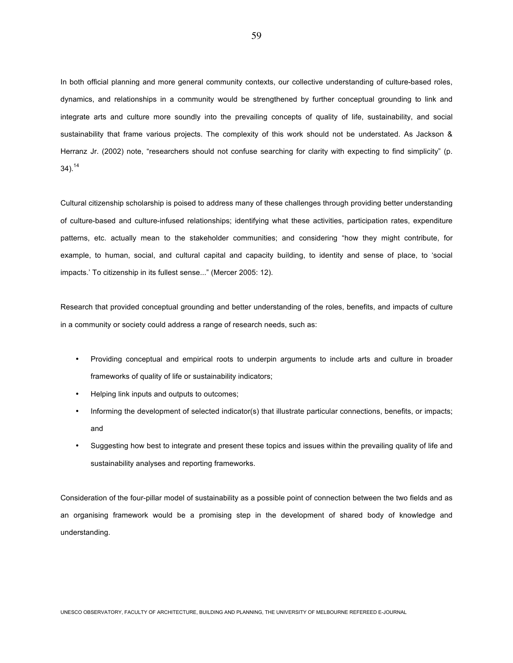In both official planning and more general community contexts, our collective understanding of culture-based roles, dynamics, and relationships in a community would be strengthened by further conceptual grounding to link and integrate arts and culture more soundly into the prevailing concepts of quality of life, sustainability, and social sustainability that frame various projects. The complexity of this work should not be understated. As Jackson & Herranz Jr. (2002) note, "researchers should not confuse searching for clarity with expecting to find simplicity" (p.  $34)$ .<sup>14</sup>

Cultural citizenship scholarship is poised to address many of these challenges through providing better understanding of culture-based and culture-infused relationships; identifying what these activities, participation rates, expenditure patterns, etc. actually mean to the stakeholder communities; and considering "how they might contribute, for example, to human, social, and cultural capital and capacity building, to identity and sense of place, to 'social impacts.' To citizenship in its fullest sense..." (Mercer 2005: 12).

Research that provided conceptual grounding and better understanding of the roles, benefits, and impacts of culture in a community or society could address a range of research needs, such as:

- Providing conceptual and empirical roots to underpin arguments to include arts and culture in broader frameworks of quality of life or sustainability indicators;
- Helping link inputs and outputs to outcomes;
- Informing the development of selected indicator(s) that illustrate particular connections, benefits, or impacts; and
- Suggesting how best to integrate and present these topics and issues within the prevailing quality of life and sustainability analyses and reporting frameworks.

Consideration of the four-pillar model of sustainability as a possible point of connection between the two fields and as an organising framework would be a promising step in the development of shared body of knowledge and understanding.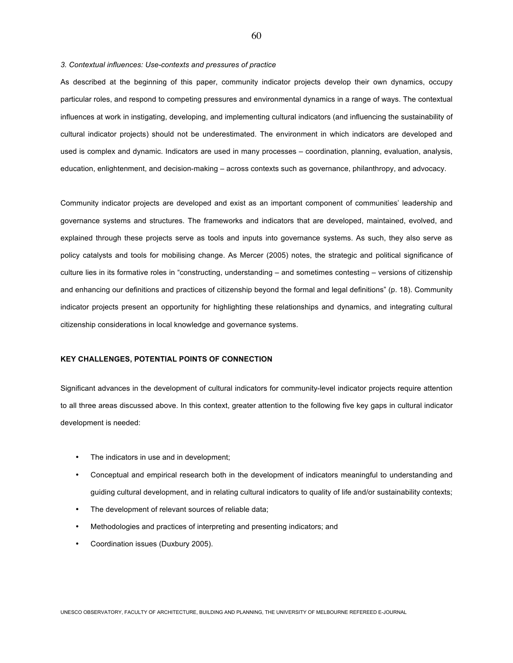*3. Contextual influences: Use-contexts and pressures of practice* 

As described at the beginning of this paper, community indicator projects develop their own dynamics, occupy particular roles, and respond to competing pressures and environmental dynamics in a range of ways. The contextual influences at work in instigating, developing, and implementing cultural indicators (and influencing the sustainability of cultural indicator projects) should not be underestimated. The environment in which indicators are developed and used is complex and dynamic. Indicators are used in many processes – coordination, planning, evaluation, analysis, education, enlightenment, and decision-making – across contexts such as governance, philanthropy, and advocacy.

Community indicator projects are developed and exist as an important component of communities' leadership and governance systems and structures. The frameworks and indicators that are developed, maintained, evolved, and explained through these projects serve as tools and inputs into governance systems. As such, they also serve as policy catalysts and tools for mobilising change. As Mercer (2005) notes, the strategic and political significance of culture lies in its formative roles in "constructing, understanding – and sometimes contesting – versions of citizenship and enhancing our definitions and practices of citizenship beyond the formal and legal definitions" (p. 18). Community indicator projects present an opportunity for highlighting these relationships and dynamics, and integrating cultural citizenship considerations in local knowledge and governance systems.

# **KEY CHALLENGES, POTENTIAL POINTS OF CONNECTION**

Significant advances in the development of cultural indicators for community-level indicator projects require attention to all three areas discussed above. In this context, greater attention to the following five key gaps in cultural indicator development is needed:

- The indicators in use and in development;
- Conceptual and empirical research both in the development of indicators meaningful to understanding and guiding cultural development, and in relating cultural indicators to quality of life and/or sustainability contexts;
- The development of relevant sources of reliable data;
- Methodologies and practices of interpreting and presenting indicators; and
- Coordination issues (Duxbury 2005).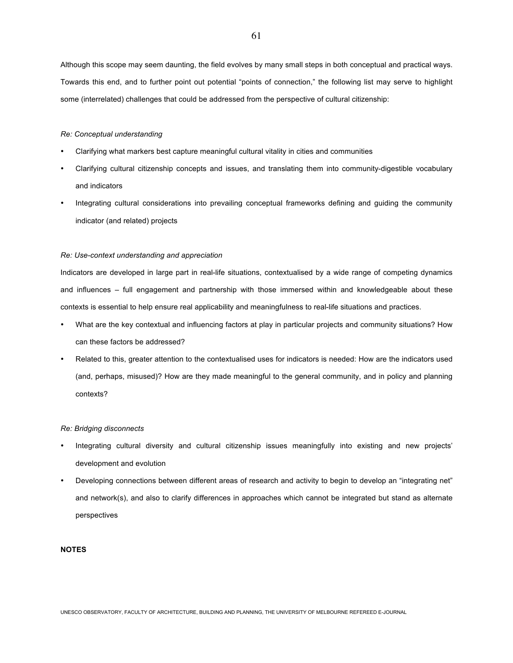Although this scope may seem daunting, the field evolves by many small steps in both conceptual and practical ways. Towards this end, and to further point out potential "points of connection," the following list may serve to highlight some (interrelated) challenges that could be addressed from the perspective of cultural citizenship:

#### *Re: Conceptual understanding*

- Clarifying what markers best capture meaningful cultural vitality in cities and communities
- Clarifying cultural citizenship concepts and issues, and translating them into community-digestible vocabulary and indicators
- Integrating cultural considerations into prevailing conceptual frameworks defining and guiding the community indicator (and related) projects

#### *Re: Use-context understanding and appreciation*

Indicators are developed in large part in real-life situations, contextualised by a wide range of competing dynamics and influences – full engagement and partnership with those immersed within and knowledgeable about these contexts is essential to help ensure real applicability and meaningfulness to real-life situations and practices.

- What are the key contextual and influencing factors at play in particular projects and community situations? How can these factors be addressed?
- Related to this, greater attention to the contextualised uses for indicators is needed: How are the indicators used (and, perhaps, misused)? How are they made meaningful to the general community, and in policy and planning contexts?

#### *Re: Bridging disconnects*

- Integrating cultural diversity and cultural citizenship issues meaningfully into existing and new projects' development and evolution
- Developing connections between different areas of research and activity to begin to develop an "integrating net" and network(s), and also to clarify differences in approaches which cannot be integrated but stand as alternate perspectives

#### **NOTES**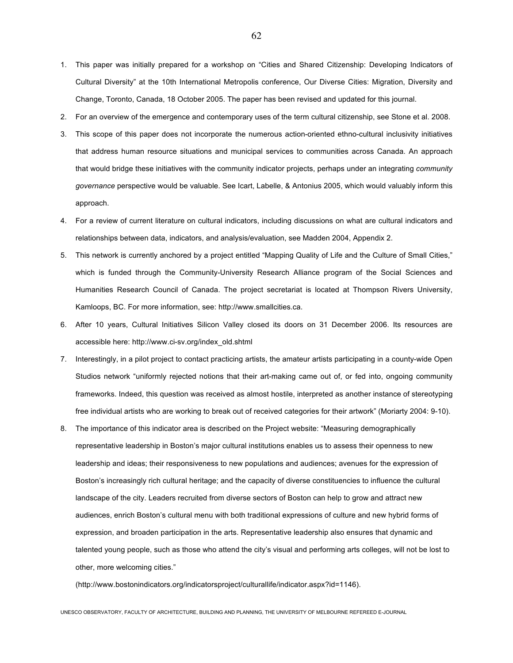- 1. This paper was initially prepared for a workshop on "Cities and Shared Citizenship: Developing Indicators of Cultural Diversity" at the 10th International Metropolis conference, Our Diverse Cities: Migration, Diversity and Change, Toronto, Canada, 18 October 2005. The paper has been revised and updated for this journal.
- 2. For an overview of the emergence and contemporary uses of the term cultural citizenship, see Stone et al. 2008.
- 3. This scope of this paper does not incorporate the numerous action-oriented ethno-cultural inclusivity initiatives that address human resource situations and municipal services to communities across Canada. An approach that would bridge these initiatives with the community indicator projects, perhaps under an integrating *community governance* perspective would be valuable. See Icart, Labelle, & Antonius 2005, which would valuably inform this approach.
- 4. For a review of current literature on cultural indicators, including discussions on what are cultural indicators and relationships between data, indicators, and analysis/evaluation, see Madden 2004, Appendix 2.
- 5. This network is currently anchored by a project entitled "Mapping Quality of Life and the Culture of Small Cities," which is funded through the Community-University Research Alliance program of the Social Sciences and Humanities Research Council of Canada. The project secretariat is located at Thompson Rivers University, Kamloops, BC. For more information, see: http://www.smallcities.ca.
- 6. After 10 years, Cultural Initiatives Silicon Valley closed its doors on 31 December 2006. Its resources are accessible here: http://www.ci-sv.org/index\_old.shtml
- 7. Interestingly, in a pilot project to contact practicing artists, the amateur artists participating in a county-wide Open Studios network "uniformly rejected notions that their art-making came out of, or fed into, ongoing community frameworks. Indeed, this question was received as almost hostile, interpreted as another instance of stereotyping free individual artists who are working to break out of received categories for their artwork" (Moriarty 2004: 9-10).
- 8. The importance of this indicator area is described on the Project website: "Measuring demographically representative leadership in Boston's major cultural institutions enables us to assess their openness to new leadership and ideas; their responsiveness to new populations and audiences; avenues for the expression of Boston's increasingly rich cultural heritage; and the capacity of diverse constituencies to influence the cultural landscape of the city. Leaders recruited from diverse sectors of Boston can help to grow and attract new audiences, enrich Boston's cultural menu with both traditional expressions of culture and new hybrid forms of expression, and broaden participation in the arts. Representative leadership also ensures that dynamic and talented young people, such as those who attend the city's visual and performing arts colleges, will not be lost to other, more welcoming cities."

(http://www.bostonindicators.org/indicatorsproject/culturallife/indicator.aspx?id=1146).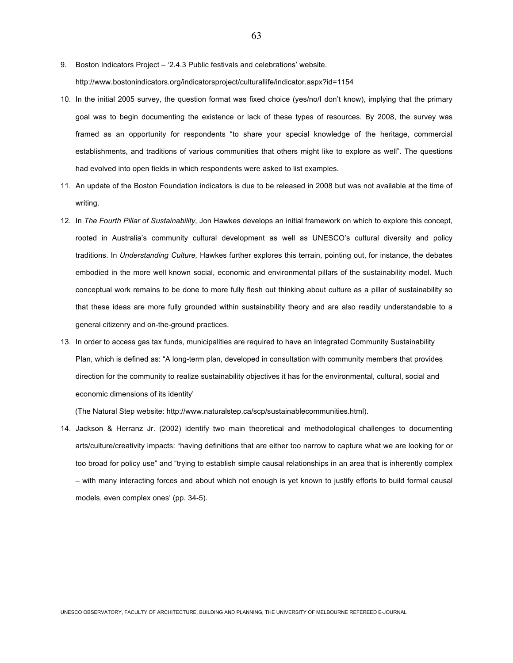9. Boston Indicators Project – '2.4.3 Public festivals and celebrations' website.

http://www.bostonindicators.org/indicatorsproject/culturallife/indicator.aspx?id=1154

- 10. In the initial 2005 survey, the question format was fixed choice (yes/no/I don't know), implying that the primary goal was to begin documenting the existence or lack of these types of resources. By 2008, the survey was framed as an opportunity for respondents "to share your special knowledge of the heritage, commercial establishments, and traditions of various communities that others might like to explore as well". The questions had evolved into open fields in which respondents were asked to list examples.
- 11. An update of the Boston Foundation indicators is due to be released in 2008 but was not available at the time of writing.
- 12. In *The Fourth Pillar of Sustainability*, Jon Hawkes develops an initial framework on which to explore this concept, rooted in Australia's community cultural development as well as UNESCO's cultural diversity and policy traditions. In *Understanding Culture,* Hawkes further explores this terrain, pointing out, for instance, the debates embodied in the more well known social, economic and environmental pillars of the sustainability model. Much conceptual work remains to be done to more fully flesh out thinking about culture as a pillar of sustainability so that these ideas are more fully grounded within sustainability theory and are also readily understandable to a general citizenry and on-the-ground practices.
- 13. In order to access gas tax funds, municipalities are required to have an Integrated Community Sustainability Plan, which is defined as: "A long-term plan, developed in consultation with community members that provides direction for the community to realize sustainability objectives it has for the environmental, cultural, social and economic dimensions of its identity'

(The Natural Step website: http://www.naturalstep.ca/scp/sustainablecommunities.html).

14. Jackson & Herranz Jr. (2002) identify two main theoretical and methodological challenges to documenting arts/culture/creativity impacts: "having definitions that are either too narrow to capture what we are looking for or too broad for policy use" and "trying to establish simple causal relationships in an area that is inherently complex – with many interacting forces and about which not enough is yet known to justify efforts to build formal causal models, even complex ones' (pp. 34-5).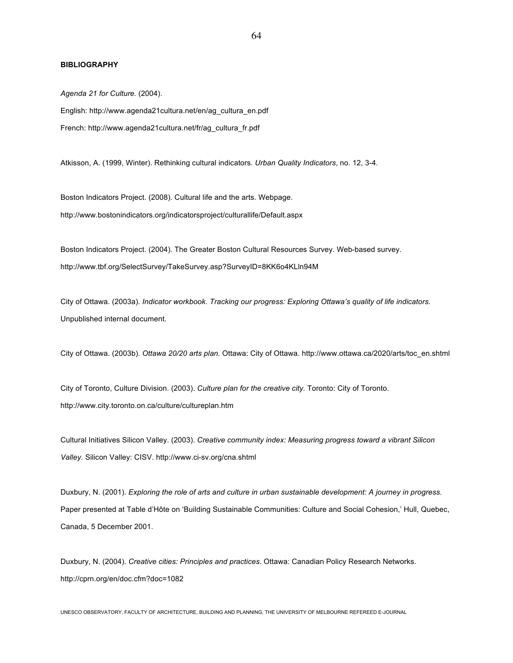## **BIBLIOGRAPHY**

*Agenda 21 for Culture.* (2004). English: http://www.agenda21cultura.net/en/ag\_cultura\_en.pdf French: http://www.agenda21cultura.net/fr/ag\_cultura\_fr.pdf

Atkisson, A. (1999, Winter). Rethinking cultural indicators. *Urban Quality Indicators*, no. 12, 3-4.

Boston Indicators Project. (2008). Cultural life and the arts. Webpage. http://www.bostonindicators.org/indicatorsproject/culturallife/Default.aspx

Boston Indicators Project. (2004). The Greater Boston Cultural Resources Survey. Web-based survey. http://www.tbf.org/SelectSurvey/TakeSurvey.asp?SurveyID=8KK6o4KLln94M

City of Ottawa. (2003a). *Indicator workbook. Tracking our progress: Exploring Ottawa's quality of life indicators.* Unpublished internal document.

City of Ottawa. (2003b). *Ottawa 20/20 arts plan.* Ottawa: City of Ottawa. http://www.ottawa.ca/2020/arts/toc\_en.shtml

City of Toronto, Culture Division. (2003). *Culture plan for the creative city.* Toronto: City of Toronto. http://www.city.toronto.on.ca/culture/cultureplan.htm

Cultural Initiatives Silicon Valley. (2003). *Creative community index: Measuring progress toward a vibrant Silicon Valley.* Silicon Valley: CISV. http://www.ci-sv.org/cna.shtml

Duxbury, N. (2001). *Exploring the role of arts and culture in urban sustainable development: A journey in progress.*  Paper presented at Table d'Hôte on 'Building Sustainable Communities: Culture and Social Cohesion,' Hull, Quebec, Canada, 5 December 2001.

Duxbury, N. (2004). *Creative cities: Principles and practices.* Ottawa: Canadian Policy Research Networks. http://cprn.org/en/doc.cfm?doc=1082

UNESCO OBSERVATORY, FACULTY OF ARCHITECTURE, BUILDING AND PLANNING, THE UNIVERSITY OF MELBOURNE REFEREED E-JOURNAL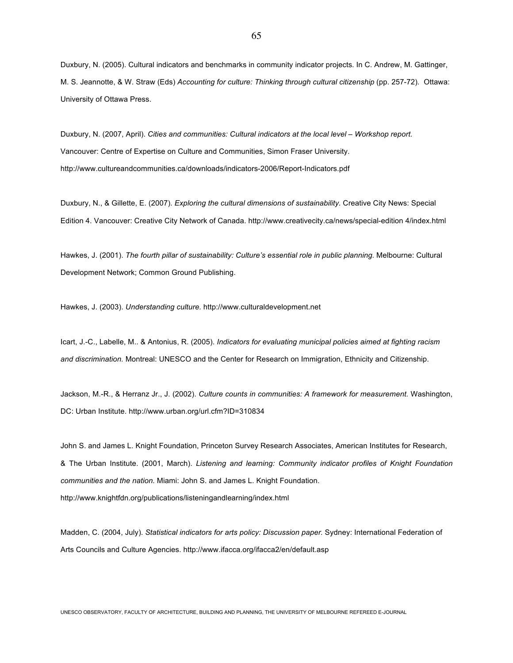Duxbury, N. (2005). Cultural indicators and benchmarks in community indicator projects. In C. Andrew, M. Gattinger, M. S. Jeannotte, & W. Straw (Eds) *Accounting for culture: Thinking through cultural citizenship* (pp. 257-72)*.* Ottawa: University of Ottawa Press.

Duxbury, N. (2007, April). *Cities and communities: Cultural indicators at the local level – Workshop report.*  Vancouver: Centre of Expertise on Culture and Communities, Simon Fraser University. http://www.cultureandcommunities.ca/downloads/indicators-2006/Report-Indicators.pdf

Duxbury, N., & Gillette, E. (2007). *Exploring the cultural dimensions of sustainability.* Creative City News: Special Edition 4. Vancouver: Creative City Network of Canada. http://www.creativecity.ca/news/special-edition 4/index.html

Hawkes, J. (2001). *The fourth pillar of sustainability: Culture's essential role in public planning.* Melbourne: Cultural Development Network; Common Ground Publishing.

Hawkes, J. (2003). *Understanding culture.* http://www.culturaldevelopment.net

Icart, J.-C., Labelle, M.. & Antonius, R. (2005). *Indicators for evaluating municipal policies aimed at fighting racism and discrimination.* Montreal: UNESCO and the Center for Research on Immigration, Ethnicity and Citizenship.

Jackson, M.-R., & Herranz Jr., J. (2002). *Culture counts in communities: A framework for measurement.* Washington, DC: Urban Institute. http://www.urban.org/url.cfm?ID=310834

John S. and James L. Knight Foundation, Princeton Survey Research Associates, American Institutes for Research, & The Urban Institute. (2001, March). *Listening and learning: Community indicator profiles of Knight Foundation communities and the nation.* Miami: John S. and James L. Knight Foundation. http://www.knightfdn.org/publications/listeningandlearning/index.html

Madden, C. (2004, July). *Statistical indicators for arts policy: Discussion paper.* Sydney: International Federation of Arts Councils and Culture Agencies. http://www.ifacca.org/ifacca2/en/default.asp